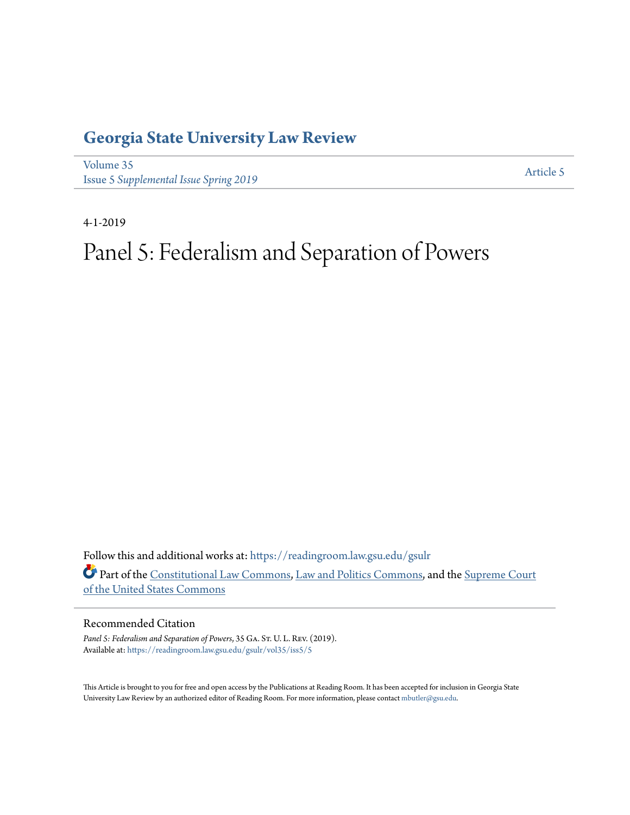# **[Georgia State University Law Review](https://readingroom.law.gsu.edu/gsulr?utm_source=readingroom.law.gsu.edu%2Fgsulr%2Fvol35%2Fiss5%2F5&utm_medium=PDF&utm_campaign=PDFCoverPages)**

[Volume 35](https://readingroom.law.gsu.edu/gsulr/vol35?utm_source=readingroom.law.gsu.edu%2Fgsulr%2Fvol35%2Fiss5%2F5&utm_medium=PDF&utm_campaign=PDFCoverPages) **Issue 5** *[Supplemental Issue Spring 2019](https://readingroom.law.gsu.edu/gsulr/vol35/iss5?utm_source=readingroom.law.gsu.edu%2Fgsulr%2Fvol35%2Fiss5%2F5&utm_medium=PDF&utm_campaign=PDFCoverPages)* [Article 5](https://readingroom.law.gsu.edu/gsulr/vol35/iss5/5?utm_source=readingroom.law.gsu.edu%2Fgsulr%2Fvol35%2Fiss5%2F5&utm_medium=PDF&utm_campaign=PDFCoverPages)

4-1-2019

# Panel 5: Federalism and Separation of Powers

Follow this and additional works at: [https://readingroom.law.gsu.edu/gsulr](https://readingroom.law.gsu.edu/gsulr?utm_source=readingroom.law.gsu.edu%2Fgsulr%2Fvol35%2Fiss5%2F5&utm_medium=PDF&utm_campaign=PDFCoverPages) Part of the [Constitutional Law Commons,](http://network.bepress.com/hgg/discipline/589?utm_source=readingroom.law.gsu.edu%2Fgsulr%2Fvol35%2Fiss5%2F5&utm_medium=PDF&utm_campaign=PDFCoverPages) [Law and Politics Commons,](http://network.bepress.com/hgg/discipline/867?utm_source=readingroom.law.gsu.edu%2Fgsulr%2Fvol35%2Fiss5%2F5&utm_medium=PDF&utm_campaign=PDFCoverPages) and the [Supreme Court](http://network.bepress.com/hgg/discipline/1350?utm_source=readingroom.law.gsu.edu%2Fgsulr%2Fvol35%2Fiss5%2F5&utm_medium=PDF&utm_campaign=PDFCoverPages) [of the United States Commons](http://network.bepress.com/hgg/discipline/1350?utm_source=readingroom.law.gsu.edu%2Fgsulr%2Fvol35%2Fiss5%2F5&utm_medium=PDF&utm_campaign=PDFCoverPages)

# Recommended Citation

Panel 5: Federalism and Separation of Powers, 35 GA. St. U. L. REV. (2019). Available at: [https://readingroom.law.gsu.edu/gsulr/vol35/iss5/5](https://readingroom.law.gsu.edu/gsulr/vol35/iss5/5?utm_source=readingroom.law.gsu.edu%2Fgsulr%2Fvol35%2Fiss5%2F5&utm_medium=PDF&utm_campaign=PDFCoverPages)

This Article is brought to you for free and open access by the Publications at Reading Room. It has been accepted for inclusion in Georgia State University Law Review by an authorized editor of Reading Room. For more information, please contact [mbutler@gsu.edu.](mailto:mbutler@gsu.edu)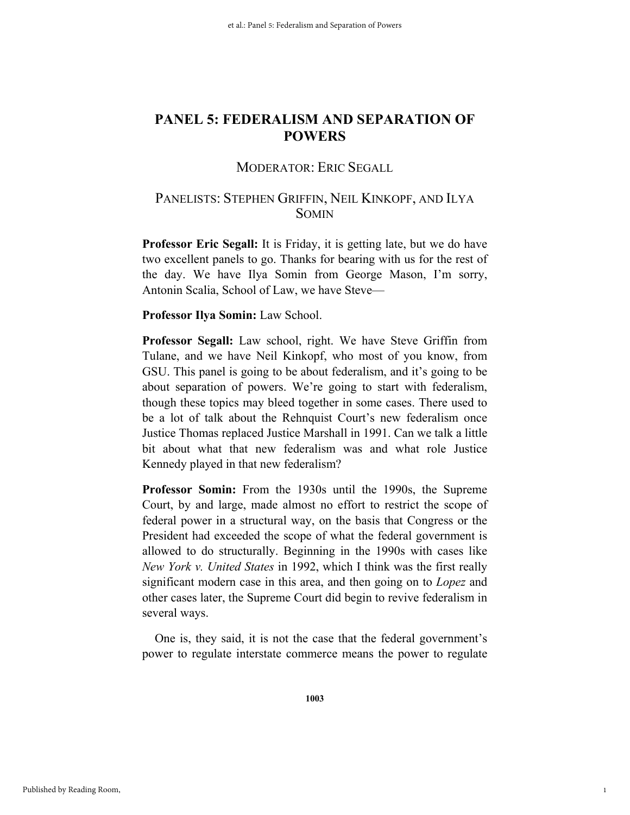# MODERATOR: ERIC SEGALL

# PANELISTS: STEPHEN GRIFFIN, NEIL KINKOPF, AND ILYA SOMIN

**Professor Eric Segall:** It is Friday, it is getting late, but we do have two excellent panels to go. Thanks for bearing with us for the rest of the day. We have Ilya Somin from George Mason, I'm sorry, Antonin Scalia, School of Law, we have Steve—

# **Professor Ilya Somin:** Law School.

**Professor Segall:** Law school, right. We have Steve Griffin from Tulane, and we have Neil Kinkopf, who most of you know, from GSU. This panel is going to be about federalism, and it's going to be about separation of powers. We're going to start with federalism, though these topics may bleed together in some cases. There used to be a lot of talk about the Rehnquist Court's new federalism once Justice Thomas replaced Justice Marshall in 1991. Can we talk a little bit about what that new federalism was and what role Justice Kennedy played in that new federalism?

**Professor Somin:** From the 1930s until the 1990s, the Supreme Court, by and large, made almost no effort to restrict the scope of federal power in a structural way, on the basis that Congress or the President had exceeded the scope of what the federal government is allowed to do structurally. Beginning in the 1990s with cases like *New York v. United States* in 1992, which I think was the first really significant modern case in this area, and then going on to *Lopez* and other cases later, the Supreme Court did begin to revive federalism in several ways.

One is, they said, it is not the case that the federal government's power to regulate interstate commerce means the power to regulate

1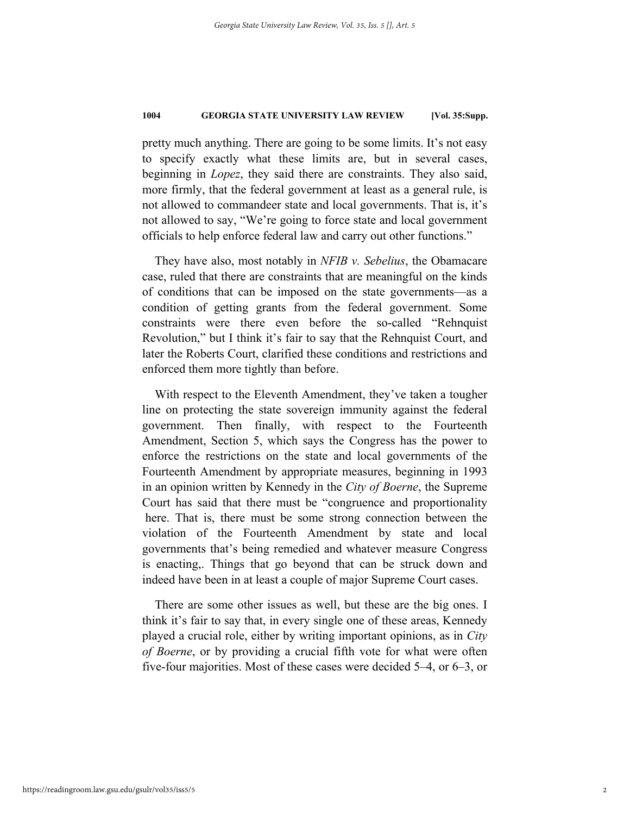pretty much anything. There are going to be some limits. It's not easy to specify exactly what these limits are, but in several cases, beginning in *Lopez*, they said there are constraints. They also said, more firmly, that the federal government at least as a general rule, is not allowed to commandeer state and local governments. That is, it's not allowed to say, "We're going to force state and local government officials to help enforce federal law and carry out other functions."

They have also, most notably in *NFIB v. Sebelius*, the Obamacare case, ruled that there are constraints that are meaningful on the kinds of conditions that can be imposed on the state governments—as a condition of getting grants from the federal government. Some constraints were there even before the so-called "Rehnquist Revolution," but I think it's fair to say that the Rehnquist Court, and later the Roberts Court, clarified these conditions and restrictions and enforced them more tightly than before.

With respect to the Eleventh Amendment, they've taken a tougher line on protecting the state sovereign immunity against the federal government. Then finally, with respect to the Fourteenth Amendment, Section 5, which says the Congress has the power to enforce the restrictions on the state and local governments of the Fourteenth Amendment by appropriate measures, beginning in 1993 in an opinion written by Kennedy in the *City of Boerne*, the Supreme Court has said that there must be "congruence and proportionality here. That is, there must be some strong connection between the violation of the Fourteenth Amendment by state and local governments that's being remedied and whatever measure Congress is enacting,. Things that go beyond that can be struck down and indeed have been in at least a couple of major Supreme Court cases.

There are some other issues as well, but these are the big ones. I think it's fair to say that, in every single one of these areas, Kennedy played a crucial role, either by writing important opinions, as in *City of Boerne*, or by providing a crucial fifth vote for what were often five-four majorities. Most of these cases were decided 5–4, or 6–3, or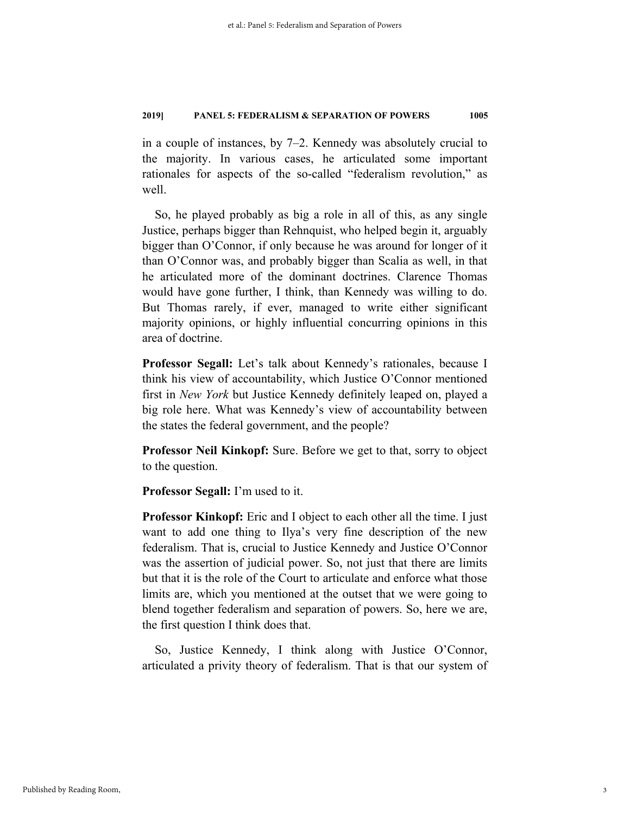in a couple of instances, by 7–2. Kennedy was absolutely crucial to the majority. In various cases, he articulated some important rationales for aspects of the so-called "federalism revolution," as well.

So, he played probably as big a role in all of this, as any single Justice, perhaps bigger than Rehnquist, who helped begin it, arguably bigger than O'Connor, if only because he was around for longer of it than O'Connor was, and probably bigger than Scalia as well, in that he articulated more of the dominant doctrines. Clarence Thomas would have gone further, I think, than Kennedy was willing to do. But Thomas rarely, if ever, managed to write either significant majority opinions, or highly influential concurring opinions in this area of doctrine.

**Professor Segall:** Let's talk about Kennedy's rationales, because I think his view of accountability, which Justice O'Connor mentioned first in *New York* but Justice Kennedy definitely leaped on, played a big role here. What was Kennedy's view of accountability between the states the federal government, and the people?

**Professor Neil Kinkopf:** Sure. Before we get to that, sorry to object to the question.

**Professor Segall:** I'm used to it.

**Professor Kinkopf:** Eric and I object to each other all the time. I just want to add one thing to Ilya's very fine description of the new federalism. That is, crucial to Justice Kennedy and Justice O'Connor was the assertion of judicial power. So, not just that there are limits but that it is the role of the Court to articulate and enforce what those limits are, which you mentioned at the outset that we were going to blend together federalism and separation of powers. So, here we are, the first question I think does that.

So, Justice Kennedy, I think along with Justice O'Connor, articulated a privity theory of federalism. That is that our system of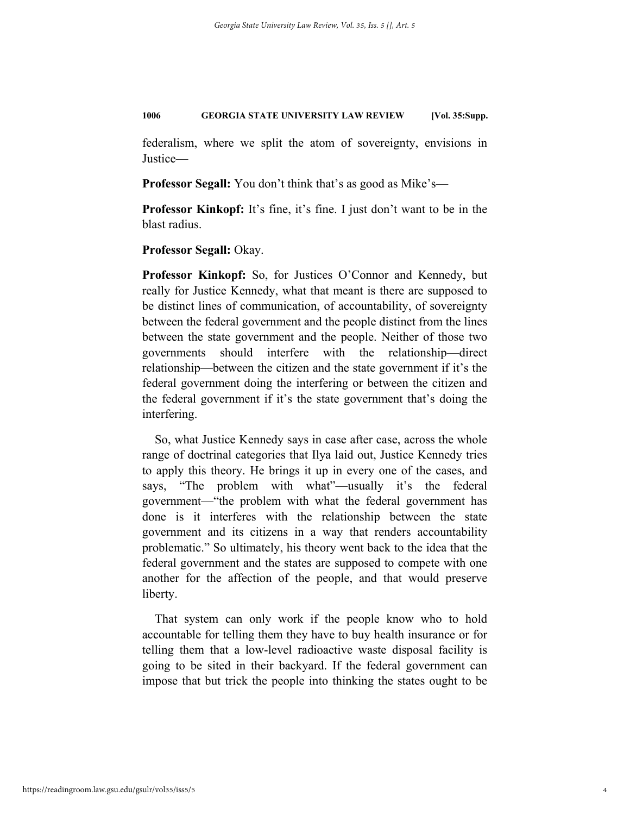federalism, where we split the atom of sovereignty, envisions in Justice—

**Professor Segall:** You don't think that's as good as Mike's—

**Professor Kinkopf:** It's fine, it's fine. I just don't want to be in the blast radius.

**Professor Segall:** Okay.

**Professor Kinkopf:** So, for Justices O'Connor and Kennedy, but really for Justice Kennedy, what that meant is there are supposed to be distinct lines of communication, of accountability, of sovereignty between the federal government and the people distinct from the lines between the state government and the people. Neither of those two governments should interfere with the relationship—direct relationship—between the citizen and the state government if it's the federal government doing the interfering or between the citizen and the federal government if it's the state government that's doing the interfering.

So, what Justice Kennedy says in case after case, across the whole range of doctrinal categories that Ilya laid out, Justice Kennedy tries to apply this theory. He brings it up in every one of the cases, and says, "The problem with what"—usually it's the federal government—"the problem with what the federal government has done is it interferes with the relationship between the state government and its citizens in a way that renders accountability problematic." So ultimately, his theory went back to the idea that the federal government and the states are supposed to compete with one another for the affection of the people, and that would preserve liberty.

That system can only work if the people know who to hold accountable for telling them they have to buy health insurance or for telling them that a low-level radioactive waste disposal facility is going to be sited in their backyard. If the federal government can impose that but trick the people into thinking the states ought to be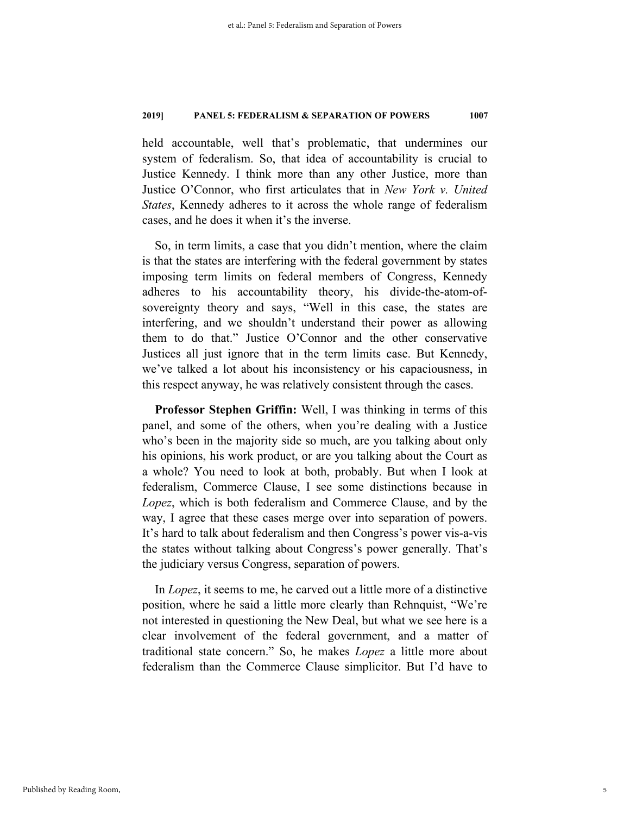held accountable, well that's problematic, that undermines our system of federalism. So, that idea of accountability is crucial to Justice Kennedy. I think more than any other Justice, more than Justice O'Connor, who first articulates that in *New York v. United States*, Kennedy adheres to it across the whole range of federalism cases, and he does it when it's the inverse.

So, in term limits, a case that you didn't mention, where the claim is that the states are interfering with the federal government by states imposing term limits on federal members of Congress, Kennedy adheres to his accountability theory, his divide-the-atom-ofsovereignty theory and says, "Well in this case, the states are interfering, and we shouldn't understand their power as allowing them to do that." Justice O'Connor and the other conservative Justices all just ignore that in the term limits case. But Kennedy, we've talked a lot about his inconsistency or his capaciousness, in this respect anyway, he was relatively consistent through the cases.

**Professor Stephen Griffin:** Well, I was thinking in terms of this panel, and some of the others, when you're dealing with a Justice who's been in the majority side so much, are you talking about only his opinions, his work product, or are you talking about the Court as a whole? You need to look at both, probably. But when I look at federalism, Commerce Clause, I see some distinctions because in *Lopez*, which is both federalism and Commerce Clause, and by the way, I agree that these cases merge over into separation of powers. It's hard to talk about federalism and then Congress's power vis-a-vis the states without talking about Congress's power generally. That's the judiciary versus Congress, separation of powers.

In *Lopez*, it seems to me, he carved out a little more of a distinctive position, where he said a little more clearly than Rehnquist, "We're not interested in questioning the New Deal, but what we see here is a clear involvement of the federal government, and a matter of traditional state concern." So, he makes *Lopez* a little more about federalism than the Commerce Clause simplicitor. But I'd have to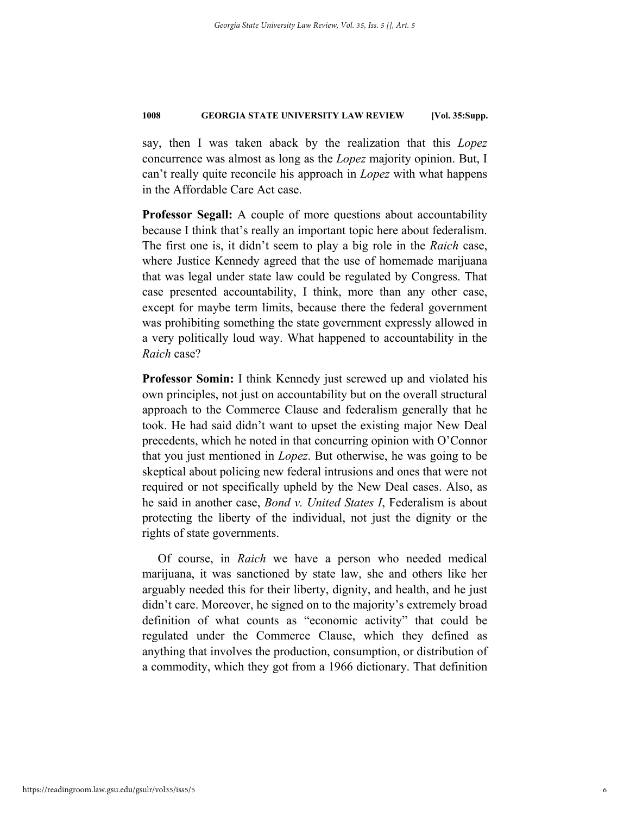say, then I was taken aback by the realization that this *Lopez* concurrence was almost as long as the *Lopez* majority opinion. But, I can't really quite reconcile his approach in *Lopez* with what happens in the Affordable Care Act case.

**Professor Segall:** A couple of more questions about accountability because I think that's really an important topic here about federalism. The first one is, it didn't seem to play a big role in the *Raich* case, where Justice Kennedy agreed that the use of homemade marijuana that was legal under state law could be regulated by Congress. That case presented accountability, I think, more than any other case, except for maybe term limits, because there the federal government was prohibiting something the state government expressly allowed in a very politically loud way. What happened to accountability in the *Raich* case?

**Professor Somin:** I think Kennedy just screwed up and violated his own principles, not just on accountability but on the overall structural approach to the Commerce Clause and federalism generally that he took. He had said didn't want to upset the existing major New Deal precedents, which he noted in that concurring opinion with O'Connor that you just mentioned in *Lopez*. But otherwise, he was going to be skeptical about policing new federal intrusions and ones that were not required or not specifically upheld by the New Deal cases. Also, as he said in another case, *Bond v. United States I*, Federalism is about protecting the liberty of the individual, not just the dignity or the rights of state governments.

 Of course, in *Raich* we have a person who needed medical marijuana, it was sanctioned by state law, she and others like her arguably needed this for their liberty, dignity, and health, and he just didn't care. Moreover, he signed on to the majority's extremely broad definition of what counts as "economic activity" that could be regulated under the Commerce Clause, which they defined as anything that involves the production, consumption, or distribution of a commodity, which they got from a 1966 dictionary. That definition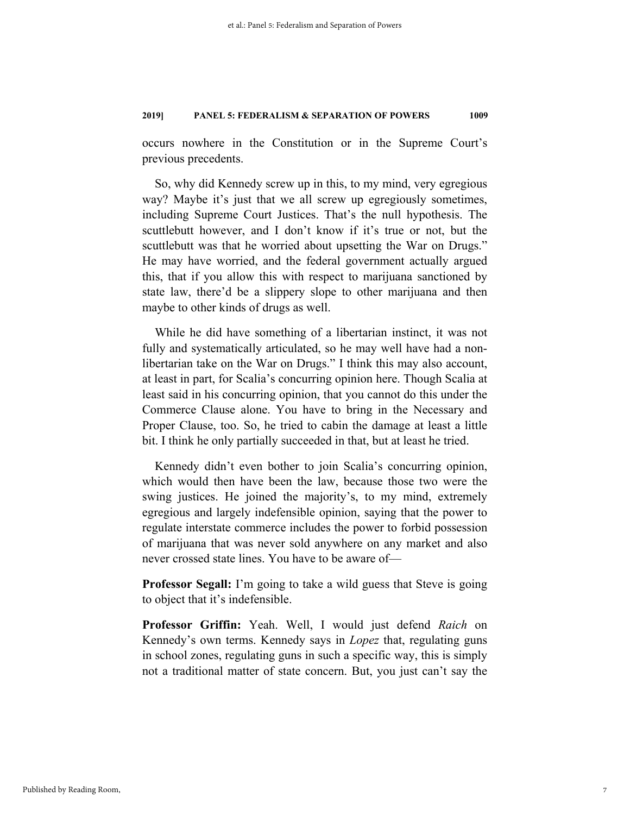occurs nowhere in the Constitution or in the Supreme Court's previous precedents.

So, why did Kennedy screw up in this, to my mind, very egregious way? Maybe it's just that we all screw up egregiously sometimes, including Supreme Court Justices. That's the null hypothesis. The scuttlebutt however, and I don't know if it's true or not, but the scuttlebutt was that he worried about upsetting the War on Drugs." He may have worried, and the federal government actually argued this, that if you allow this with respect to marijuana sanctioned by state law, there'd be a slippery slope to other marijuana and then maybe to other kinds of drugs as well.

While he did have something of a libertarian instinct, it was not fully and systematically articulated, so he may well have had a nonlibertarian take on the War on Drugs." I think this may also account, at least in part, for Scalia's concurring opinion here. Though Scalia at least said in his concurring opinion, that you cannot do this under the Commerce Clause alone. You have to bring in the Necessary and Proper Clause, too. So, he tried to cabin the damage at least a little bit. I think he only partially succeeded in that, but at least he tried.

Kennedy didn't even bother to join Scalia's concurring opinion, which would then have been the law, because those two were the swing justices. He joined the majority's, to my mind, extremely egregious and largely indefensible opinion, saying that the power to regulate interstate commerce includes the power to forbid possession of marijuana that was never sold anywhere on any market and also never crossed state lines. You have to be aware of—

**Professor Segall:** I'm going to take a wild guess that Steve is going to object that it's indefensible.

**Professor Griffin:** Yeah. Well, I would just defend *Raich* on Kennedy's own terms. Kennedy says in *Lopez* that, regulating guns in school zones, regulating guns in such a specific way, this is simply not a traditional matter of state concern. But, you just can't say the

7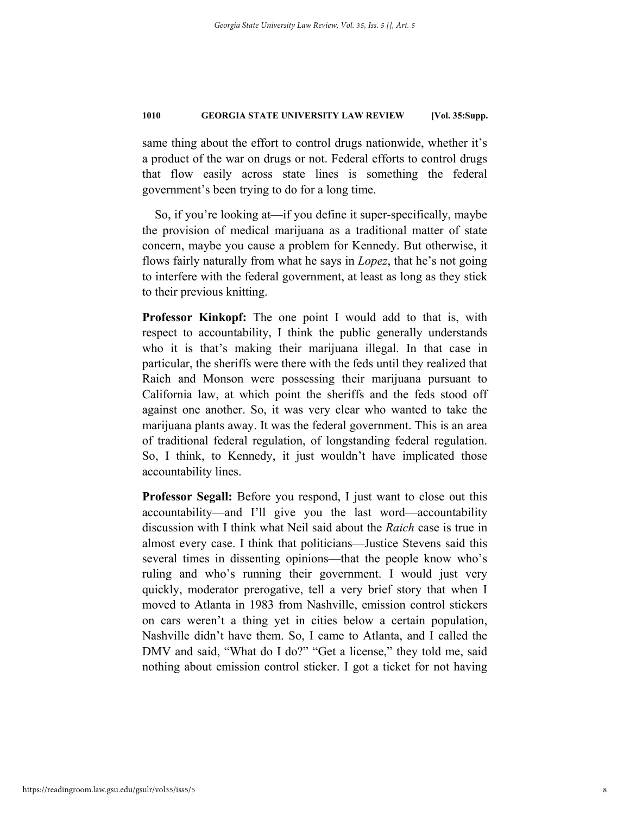same thing about the effort to control drugs nationwide, whether it's a product of the war on drugs or not. Federal efforts to control drugs that flow easily across state lines is something the federal government's been trying to do for a long time.

So, if you're looking at—if you define it super-specifically, maybe the provision of medical marijuana as a traditional matter of state concern, maybe you cause a problem for Kennedy. But otherwise, it flows fairly naturally from what he says in *Lopez*, that he's not going to interfere with the federal government, at least as long as they stick to their previous knitting.

**Professor Kinkopf:** The one point I would add to that is, with respect to accountability, I think the public generally understands who it is that's making their marijuana illegal. In that case in particular, the sheriffs were there with the feds until they realized that Raich and Monson were possessing their marijuana pursuant to California law, at which point the sheriffs and the feds stood off against one another. So, it was very clear who wanted to take the marijuana plants away. It was the federal government. This is an area of traditional federal regulation, of longstanding federal regulation. So, I think, to Kennedy, it just wouldn't have implicated those accountability lines.

**Professor Segall:** Before you respond, I just want to close out this accountability—and I'll give you the last word—accountability discussion with I think what Neil said about the *Raich* case is true in almost every case. I think that politicians—Justice Stevens said this several times in dissenting opinions—that the people know who's ruling and who's running their government. I would just very quickly, moderator prerogative, tell a very brief story that when I moved to Atlanta in 1983 from Nashville, emission control stickers on cars weren't a thing yet in cities below a certain population, Nashville didn't have them. So, I came to Atlanta, and I called the DMV and said, "What do I do?" "Get a license," they told me, said nothing about emission control sticker. I got a ticket for not having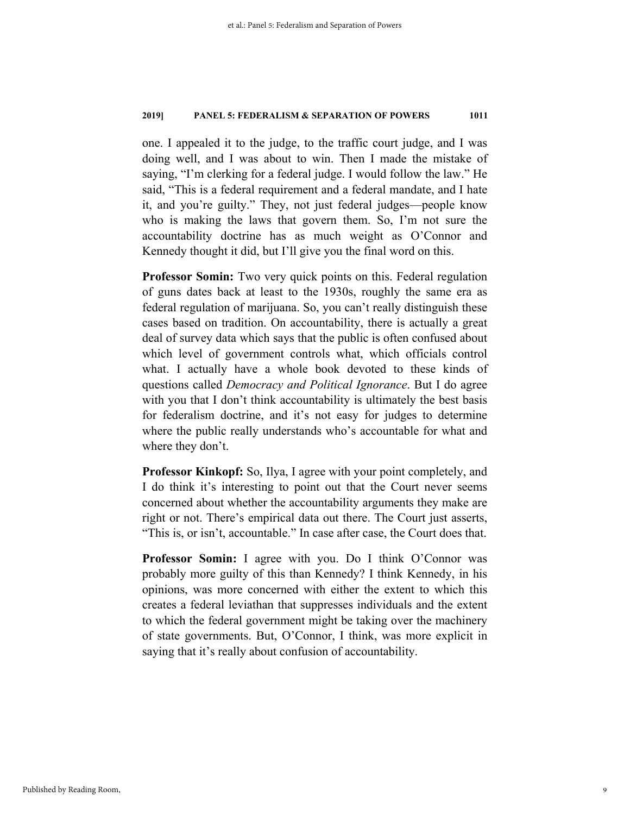one. I appealed it to the judge, to the traffic court judge, and I was doing well, and I was about to win. Then I made the mistake of saying, "I'm clerking for a federal judge. I would follow the law." He said, "This is a federal requirement and a federal mandate, and I hate it, and you're guilty." They, not just federal judges—people know who is making the laws that govern them. So, I'm not sure the accountability doctrine has as much weight as O'Connor and Kennedy thought it did, but I'll give you the final word on this.

**Professor Somin:** Two very quick points on this. Federal regulation of guns dates back at least to the 1930s, roughly the same era as federal regulation of marijuana. So, you can't really distinguish these cases based on tradition. On accountability, there is actually a great deal of survey data which says that the public is often confused about which level of government controls what, which officials control what. I actually have a whole book devoted to these kinds of questions called *Democracy and Political Ignorance*. But I do agree with you that I don't think accountability is ultimately the best basis for federalism doctrine, and it's not easy for judges to determine where the public really understands who's accountable for what and where they don't.

**Professor Kinkopf:** So, Ilya, I agree with your point completely, and I do think it's interesting to point out that the Court never seems concerned about whether the accountability arguments they make are right or not. There's empirical data out there. The Court just asserts, "This is, or isn't, accountable." In case after case, the Court does that.

**Professor Somin:** I agree with you. Do I think O'Connor was probably more guilty of this than Kennedy? I think Kennedy, in his opinions, was more concerned with either the extent to which this creates a federal leviathan that suppresses individuals and the extent to which the federal government might be taking over the machinery of state governments. But, O'Connor, I think, was more explicit in saying that it's really about confusion of accountability.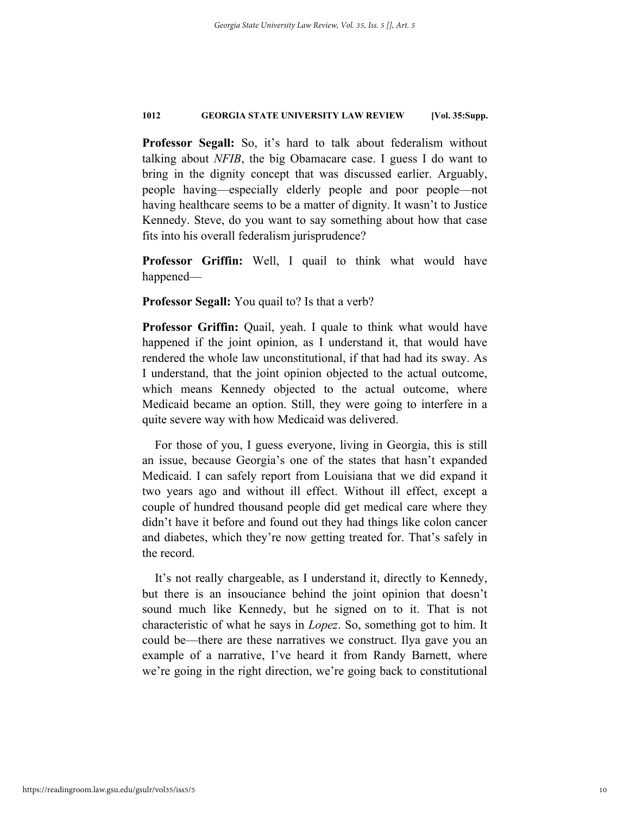**Professor Segall:** So, it's hard to talk about federalism without talking about *NFIB*, the big Obamacare case. I guess I do want to bring in the dignity concept that was discussed earlier. Arguably, people having—especially elderly people and poor people—not having healthcare seems to be a matter of dignity. It wasn't to Justice Kennedy. Steve, do you want to say something about how that case fits into his overall federalism jurisprudence?

**Professor Griffin:** Well, I quail to think what would have happened—

**Professor Segall:** You quail to? Is that a verb?

**Professor Griffin:** Quail, yeah. I quale to think what would have happened if the joint opinion, as I understand it, that would have rendered the whole law unconstitutional, if that had had its sway. As I understand, that the joint opinion objected to the actual outcome, which means Kennedy objected to the actual outcome, where Medicaid became an option. Still, they were going to interfere in a quite severe way with how Medicaid was delivered.

For those of you, I guess everyone, living in Georgia, this is still an issue, because Georgia's one of the states that hasn't expanded Medicaid. I can safely report from Louisiana that we did expand it two years ago and without ill effect. Without ill effect, except a couple of hundred thousand people did get medical care where they didn't have it before and found out they had things like colon cancer and diabetes, which they're now getting treated for. That's safely in the record.

It's not really chargeable, as I understand it, directly to Kennedy, but there is an insouciance behind the joint opinion that doesn't sound much like Kennedy, but he signed on to it. That is not characteristic of what he says in *Lopez*. So, something got to him. It could be—there are these narratives we construct. Ilya gave you an example of a narrative, I've heard it from Randy Barnett, where we're going in the right direction, we're going back to constitutional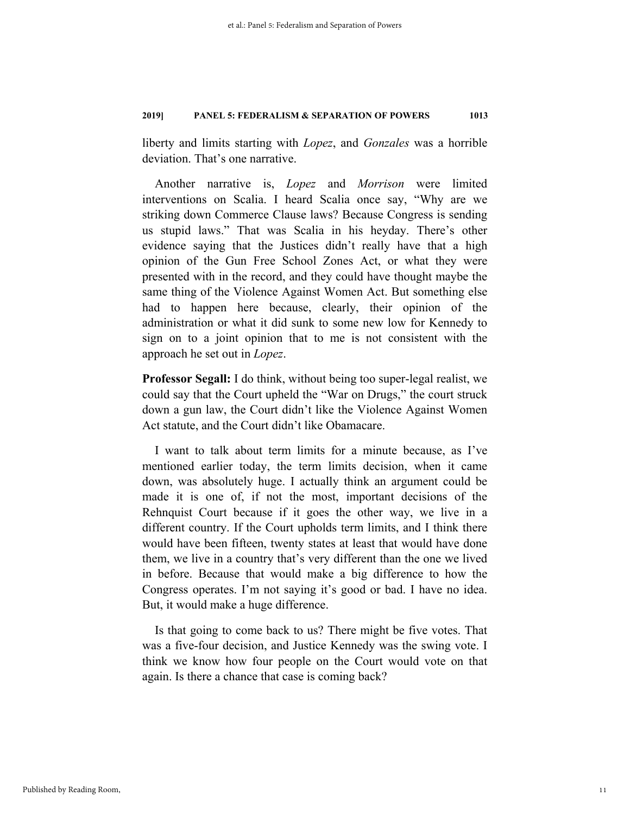liberty and limits starting with *Lopez*, and *Gonzales* was a horrible deviation. That's one narrative.

Another narrative is, *Lopez* and *Morrison* were limited interventions on Scalia. I heard Scalia once say, "Why are we striking down Commerce Clause laws? Because Congress is sending us stupid laws." That was Scalia in his heyday. There's other evidence saying that the Justices didn't really have that a high opinion of the Gun Free School Zones Act, or what they were presented with in the record, and they could have thought maybe the same thing of the Violence Against Women Act. But something else had to happen here because, clearly, their opinion of the administration or what it did sunk to some new low for Kennedy to sign on to a joint opinion that to me is not consistent with the approach he set out in *Lopez*.

**Professor Segall:** I do think, without being too super-legal realist, we could say that the Court upheld the "War on Drugs," the court struck down a gun law, the Court didn't like the Violence Against Women Act statute, and the Court didn't like Obamacare.

I want to talk about term limits for a minute because, as I've mentioned earlier today, the term limits decision, when it came down, was absolutely huge. I actually think an argument could be made it is one of, if not the most, important decisions of the Rehnquist Court because if it goes the other way, we live in a different country. If the Court upholds term limits, and I think there would have been fifteen, twenty states at least that would have done them, we live in a country that's very different than the one we lived in before. Because that would make a big difference to how the Congress operates. I'm not saying it's good or bad. I have no idea. But, it would make a huge difference.

Is that going to come back to us? There might be five votes. That was a five-four decision, and Justice Kennedy was the swing vote. I think we know how four people on the Court would vote on that again. Is there a chance that case is coming back?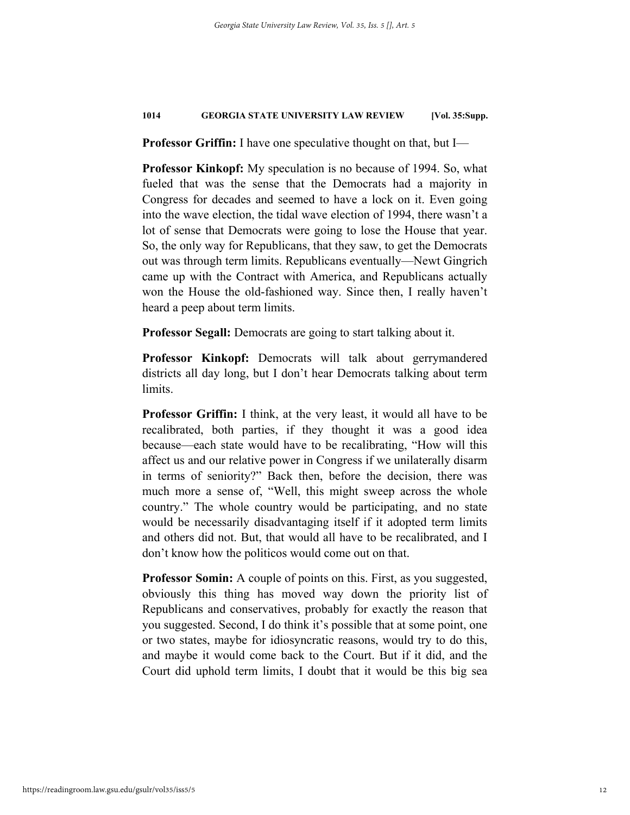**Professor Griffin:** I have one speculative thought on that, but I—

**Professor Kinkopf:** My speculation is no because of 1994. So, what fueled that was the sense that the Democrats had a majority in Congress for decades and seemed to have a lock on it. Even going into the wave election, the tidal wave election of 1994, there wasn't a lot of sense that Democrats were going to lose the House that year. So, the only way for Republicans, that they saw, to get the Democrats out was through term limits. Republicans eventually—Newt Gingrich came up with the Contract with America, and Republicans actually won the House the old-fashioned way. Since then, I really haven't heard a peep about term limits.

**Professor Segall:** Democrats are going to start talking about it.

**Professor Kinkopf:** Democrats will talk about gerrymandered districts all day long, but I don't hear Democrats talking about term limits.

**Professor Griffin:** I think, at the very least, it would all have to be recalibrated, both parties, if they thought it was a good idea because—each state would have to be recalibrating, "How will this affect us and our relative power in Congress if we unilaterally disarm in terms of seniority?" Back then, before the decision, there was much more a sense of, "Well, this might sweep across the whole country." The whole country would be participating, and no state would be necessarily disadvantaging itself if it adopted term limits and others did not. But, that would all have to be recalibrated, and I don't know how the politicos would come out on that.

**Professor Somin:** A couple of points on this. First, as you suggested, obviously this thing has moved way down the priority list of Republicans and conservatives, probably for exactly the reason that you suggested. Second, I do think it's possible that at some point, one or two states, maybe for idiosyncratic reasons, would try to do this, and maybe it would come back to the Court. But if it did, and the Court did uphold term limits, I doubt that it would be this big sea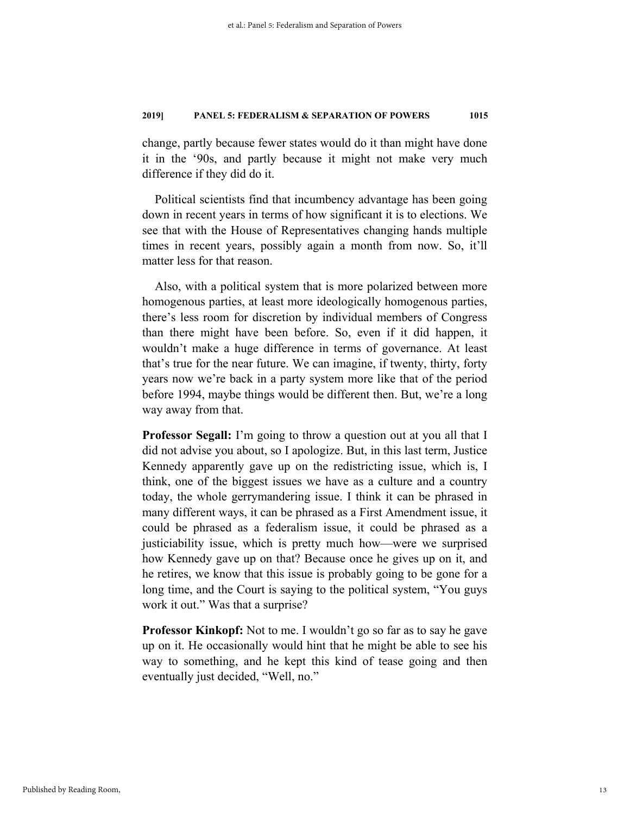change, partly because fewer states would do it than might have done it in the '90s, and partly because it might not make very much difference if they did do it.

Political scientists find that incumbency advantage has been going down in recent years in terms of how significant it is to elections. We see that with the House of Representatives changing hands multiple times in recent years, possibly again a month from now. So, it'll matter less for that reason.

Also, with a political system that is more polarized between more homogenous parties, at least more ideologically homogenous parties, there's less room for discretion by individual members of Congress than there might have been before. So, even if it did happen, it wouldn't make a huge difference in terms of governance. At least that's true for the near future. We can imagine, if twenty, thirty, forty years now we're back in a party system more like that of the period before 1994, maybe things would be different then. But, we're a long way away from that.

**Professor Segall:** I'm going to throw a question out at you all that I did not advise you about, so I apologize. But, in this last term, Justice Kennedy apparently gave up on the redistricting issue, which is, I think, one of the biggest issues we have as a culture and a country today, the whole gerrymandering issue. I think it can be phrased in many different ways, it can be phrased as a First Amendment issue, it could be phrased as a federalism issue, it could be phrased as a justiciability issue, which is pretty much how—were we surprised how Kennedy gave up on that? Because once he gives up on it, and he retires, we know that this issue is probably going to be gone for a long time, and the Court is saying to the political system, "You guys work it out." Was that a surprise?

**Professor Kinkopf:** Not to me. I wouldn't go so far as to say he gave up on it. He occasionally would hint that he might be able to see his way to something, and he kept this kind of tease going and then eventually just decided, "Well, no."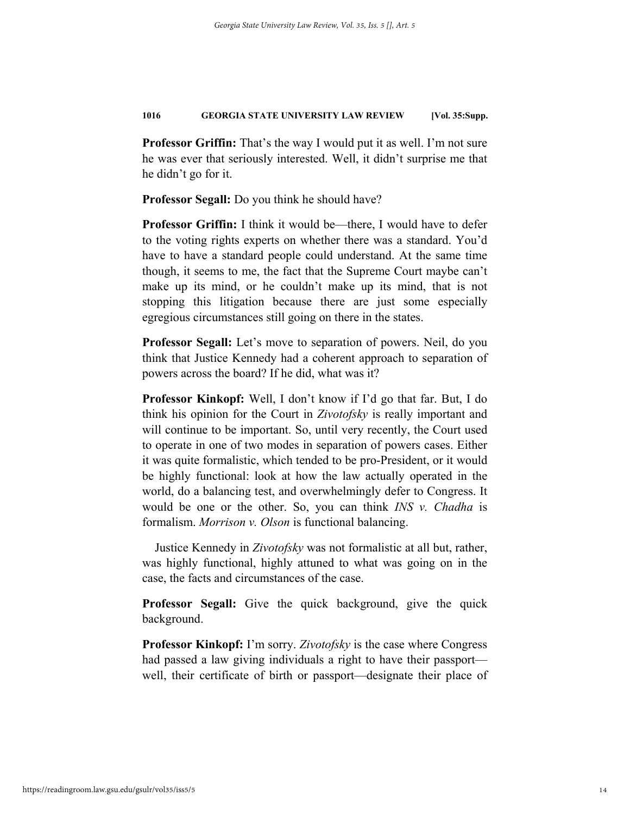**Professor Griffin:** That's the way I would put it as well. I'm not sure he was ever that seriously interested. Well, it didn't surprise me that he didn't go for it.

**Professor Segall:** Do you think he should have?

**Professor Griffin:** I think it would be—there, I would have to defer to the voting rights experts on whether there was a standard. You'd have to have a standard people could understand. At the same time though, it seems to me, the fact that the Supreme Court maybe can't make up its mind, or he couldn't make up its mind, that is not stopping this litigation because there are just some especially egregious circumstances still going on there in the states.

**Professor Segall:** Let's move to separation of powers. Neil, do you think that Justice Kennedy had a coherent approach to separation of powers across the board? If he did, what was it?

**Professor Kinkopf:** Well, I don't know if I'd go that far. But, I do think his opinion for the Court in *Zivotofsky* is really important and will continue to be important. So, until very recently, the Court used to operate in one of two modes in separation of powers cases. Either it was quite formalistic, which tended to be pro-President, or it would be highly functional: look at how the law actually operated in the world, do a balancing test, and overwhelmingly defer to Congress. It would be one or the other. So, you can think *INS v. Chadha* is formalism. *Morrison v. Olson* is functional balancing.

Justice Kennedy in *Zivotofsky* was not formalistic at all but, rather, was highly functional, highly attuned to what was going on in the case, the facts and circumstances of the case.

**Professor Segall:** Give the quick background, give the quick background.

**Professor Kinkopf:** I'm sorry. *Zivotofsky* is the case where Congress had passed a law giving individuals a right to have their passport well, their certificate of birth or passport—designate their place of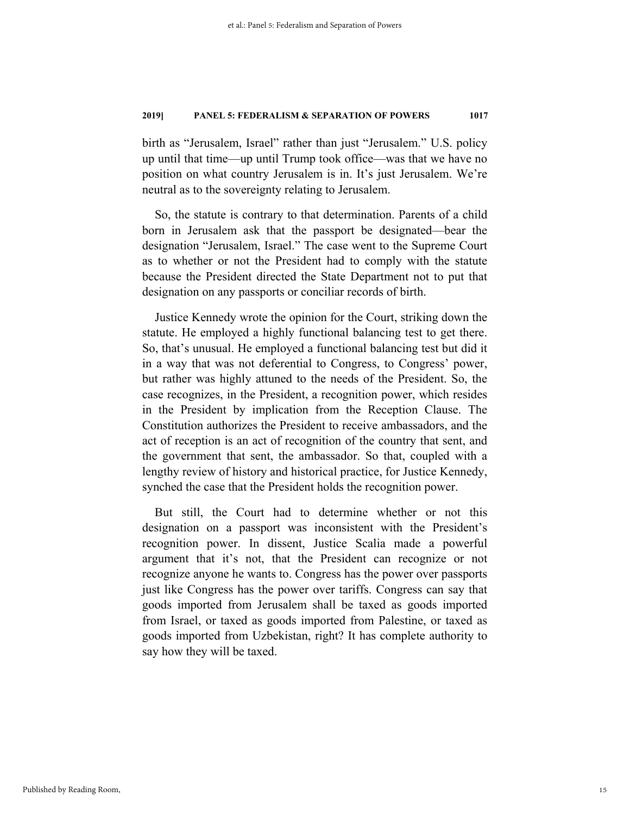birth as "Jerusalem, Israel" rather than just "Jerusalem." U.S. policy up until that time—up until Trump took office—was that we have no position on what country Jerusalem is in. It's just Jerusalem. We're neutral as to the sovereignty relating to Jerusalem.

So, the statute is contrary to that determination. Parents of a child born in Jerusalem ask that the passport be designated—bear the designation "Jerusalem, Israel." The case went to the Supreme Court as to whether or not the President had to comply with the statute because the President directed the State Department not to put that designation on any passports or conciliar records of birth.

Justice Kennedy wrote the opinion for the Court, striking down the statute. He employed a highly functional balancing test to get there. So, that's unusual. He employed a functional balancing test but did it in a way that was not deferential to Congress, to Congress' power, but rather was highly attuned to the needs of the President. So, the case recognizes, in the President, a recognition power, which resides in the President by implication from the Reception Clause. The Constitution authorizes the President to receive ambassadors, and the act of reception is an act of recognition of the country that sent, and the government that sent, the ambassador. So that, coupled with a lengthy review of history and historical practice, for Justice Kennedy, synched the case that the President holds the recognition power.

But still, the Court had to determine whether or not this designation on a passport was inconsistent with the President's recognition power. In dissent, Justice Scalia made a powerful argument that it's not, that the President can recognize or not recognize anyone he wants to. Congress has the power over passports just like Congress has the power over tariffs. Congress can say that goods imported from Jerusalem shall be taxed as goods imported from Israel, or taxed as goods imported from Palestine, or taxed as goods imported from Uzbekistan, right? It has complete authority to say how they will be taxed.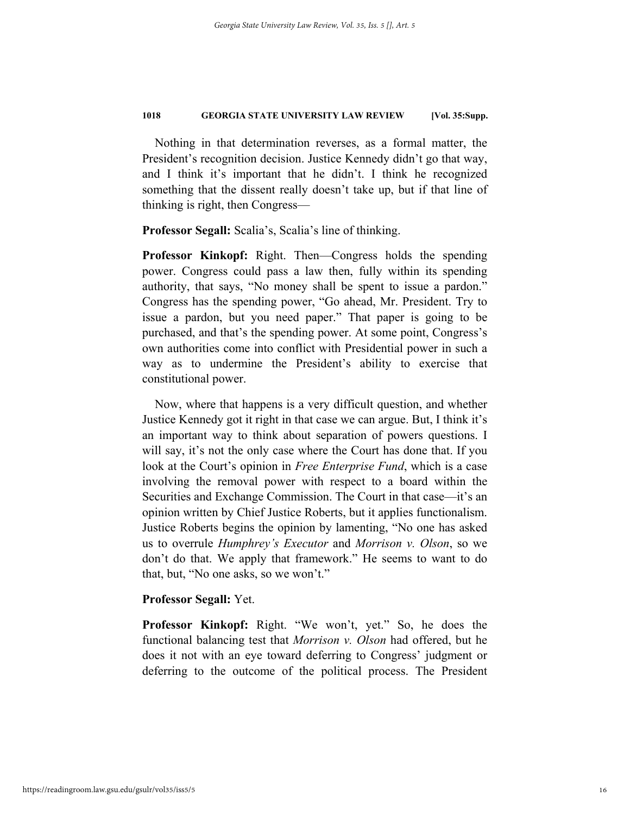Nothing in that determination reverses, as a formal matter, the President's recognition decision. Justice Kennedy didn't go that way, and I think it's important that he didn't. I think he recognized something that the dissent really doesn't take up, but if that line of thinking is right, then Congress—

**Professor Segall:** Scalia's, Scalia's line of thinking.

**Professor Kinkopf:** Right. Then—Congress holds the spending power. Congress could pass a law then, fully within its spending authority, that says, "No money shall be spent to issue a pardon." Congress has the spending power, "Go ahead, Mr. President. Try to issue a pardon, but you need paper." That paper is going to be purchased, and that's the spending power. At some point, Congress's own authorities come into conflict with Presidential power in such a way as to undermine the President's ability to exercise that constitutional power.

Now, where that happens is a very difficult question, and whether Justice Kennedy got it right in that case we can argue. But, I think it's an important way to think about separation of powers questions. I will say, it's not the only case where the Court has done that. If you look at the Court's opinion in *Free Enterprise Fund*, which is a case involving the removal power with respect to a board within the Securities and Exchange Commission. The Court in that case—it's an opinion written by Chief Justice Roberts, but it applies functionalism. Justice Roberts begins the opinion by lamenting, "No one has asked us to overrule *Humphrey's Executor* and *Morrison v. Olson*, so we don't do that. We apply that framework." He seems to want to do that, but, "No one asks, so we won't."

# **Professor Segall:** Yet.

**Professor Kinkopf:** Right. "We won't, yet." So, he does the functional balancing test that *Morrison v. Olson* had offered, but he does it not with an eye toward deferring to Congress' judgment or deferring to the outcome of the political process. The President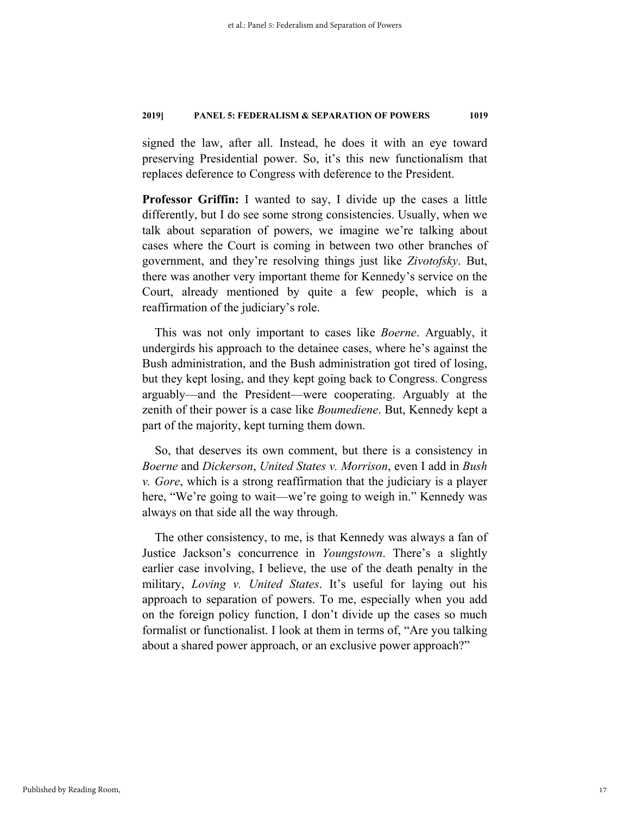signed the law, after all. Instead, he does it with an eye toward preserving Presidential power. So, it's this new functionalism that replaces deference to Congress with deference to the President.

**Professor Griffin:** I wanted to say, I divide up the cases a little differently, but I do see some strong consistencies. Usually, when we talk about separation of powers, we imagine we're talking about cases where the Court is coming in between two other branches of government, and they're resolving things just like *Zivotofsky*. But, there was another very important theme for Kennedy's service on the Court, already mentioned by quite a few people, which is a reaffirmation of the judiciary's role.

This was not only important to cases like *Boerne*. Arguably, it undergirds his approach to the detainee cases, where he's against the Bush administration, and the Bush administration got tired of losing, but they kept losing, and they kept going back to Congress. Congress arguably—and the President—were cooperating. Arguably at the zenith of their power is a case like *Boumediene*. But, Kennedy kept a part of the majority, kept turning them down.

So, that deserves its own comment, but there is a consistency in *Boerne* and *Dickerson*, *United States v. Morrison*, even I add in *Bush v. Gore*, which is a strong reaffirmation that the judiciary is a player here, "We're going to wait—we're going to weigh in." Kennedy was always on that side all the way through.

The other consistency, to me, is that Kennedy was always a fan of Justice Jackson's concurrence in *Youngstown*. There's a slightly earlier case involving, I believe, the use of the death penalty in the military, *Loving v. United States*. It's useful for laying out his approach to separation of powers. To me, especially when you add on the foreign policy function, I don't divide up the cases so much formalist or functionalist. I look at them in terms of, "Are you talking about a shared power approach, or an exclusive power approach?"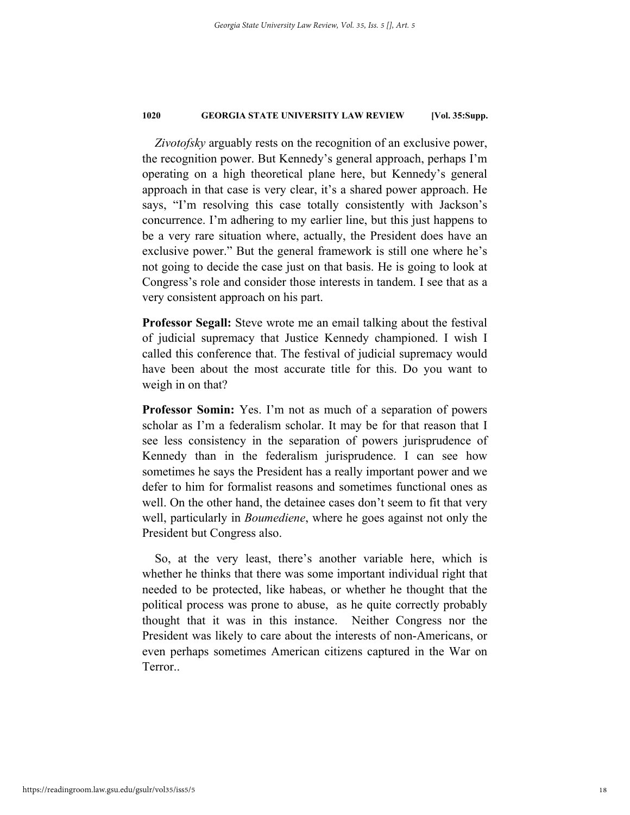*Zivotofsky* arguably rests on the recognition of an exclusive power, the recognition power. But Kennedy's general approach, perhaps I'm operating on a high theoretical plane here, but Kennedy's general approach in that case is very clear, it's a shared power approach. He says, "I'm resolving this case totally consistently with Jackson's concurrence. I'm adhering to my earlier line, but this just happens to be a very rare situation where, actually, the President does have an exclusive power." But the general framework is still one where he's not going to decide the case just on that basis. He is going to look at Congress's role and consider those interests in tandem. I see that as a very consistent approach on his part.

**Professor Segall:** Steve wrote me an email talking about the festival of judicial supremacy that Justice Kennedy championed. I wish I called this conference that. The festival of judicial supremacy would have been about the most accurate title for this. Do you want to weigh in on that?

**Professor Somin:** Yes. I'm not as much of a separation of powers scholar as I'm a federalism scholar. It may be for that reason that I see less consistency in the separation of powers jurisprudence of Kennedy than in the federalism jurisprudence. I can see how sometimes he says the President has a really important power and we defer to him for formalist reasons and sometimes functional ones as well. On the other hand, the detainee cases don't seem to fit that very well, particularly in *Boumediene*, where he goes against not only the President but Congress also.

So, at the very least, there's another variable here, which is whether he thinks that there was some important individual right that needed to be protected, like habeas, or whether he thought that the political process was prone to abuse, as he quite correctly probably thought that it was in this instance. Neither Congress nor the President was likely to care about the interests of non-Americans, or even perhaps sometimes American citizens captured in the War on Terror..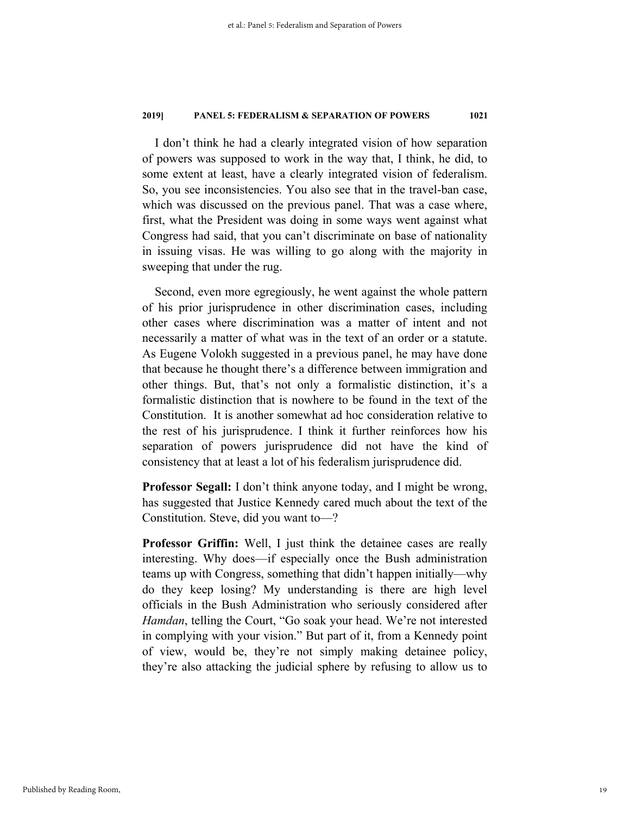I don't think he had a clearly integrated vision of how separation of powers was supposed to work in the way that, I think, he did, to some extent at least, have a clearly integrated vision of federalism. So, you see inconsistencies. You also see that in the travel-ban case, which was discussed on the previous panel. That was a case where, first, what the President was doing in some ways went against what Congress had said, that you can't discriminate on base of nationality in issuing visas. He was willing to go along with the majority in sweeping that under the rug.

Second, even more egregiously, he went against the whole pattern of his prior jurisprudence in other discrimination cases, including other cases where discrimination was a matter of intent and not necessarily a matter of what was in the text of an order or a statute. As Eugene Volokh suggested in a previous panel, he may have done that because he thought there's a difference between immigration and other things. But, that's not only a formalistic distinction, it's a formalistic distinction that is nowhere to be found in the text of the Constitution. It is another somewhat ad hoc consideration relative to the rest of his jurisprudence. I think it further reinforces how his separation of powers jurisprudence did not have the kind of consistency that at least a lot of his federalism jurisprudence did.

**Professor Segall:** I don't think anyone today, and I might be wrong, has suggested that Justice Kennedy cared much about the text of the Constitution. Steve, did you want to—?

**Professor Griffin:** Well, I just think the detainee cases are really interesting. Why does—if especially once the Bush administration teams up with Congress, something that didn't happen initially—why do they keep losing? My understanding is there are high level officials in the Bush Administration who seriously considered after *Hamdan*, telling the Court, "Go soak your head. We're not interested in complying with your vision." But part of it, from a Kennedy point of view, would be, they're not simply making detainee policy, they're also attacking the judicial sphere by refusing to allow us to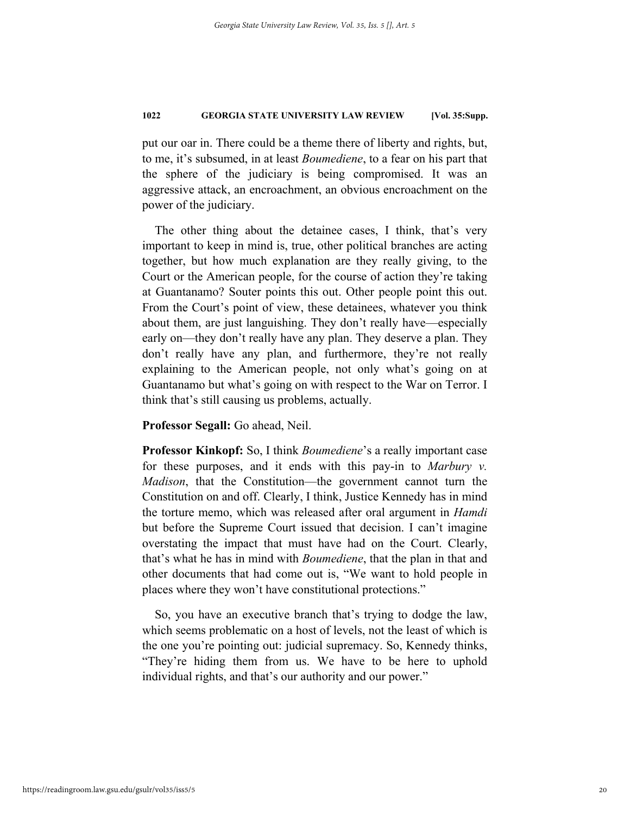put our oar in. There could be a theme there of liberty and rights, but, to me, it's subsumed, in at least *Boumediene*, to a fear on his part that the sphere of the judiciary is being compromised. It was an aggressive attack, an encroachment, an obvious encroachment on the power of the judiciary.

The other thing about the detainee cases, I think, that's very important to keep in mind is, true, other political branches are acting together, but how much explanation are they really giving, to the Court or the American people, for the course of action they're taking at Guantanamo? Souter points this out. Other people point this out. From the Court's point of view, these detainees, whatever you think about them, are just languishing. They don't really have—especially early on—they don't really have any plan. They deserve a plan. They don't really have any plan, and furthermore, they're not really explaining to the American people, not only what's going on at Guantanamo but what's going on with respect to the War on Terror. I think that's still causing us problems, actually.

**Professor Segall:** Go ahead, Neil.

**Professor Kinkopf:** So, I think *Boumediene*'s a really important case for these purposes, and it ends with this pay-in to *Marbury v. Madison*, that the Constitution—the government cannot turn the Constitution on and off. Clearly, I think, Justice Kennedy has in mind the torture memo, which was released after oral argument in *Hamdi* but before the Supreme Court issued that decision. I can't imagine overstating the impact that must have had on the Court. Clearly, that's what he has in mind with *Boumediene*, that the plan in that and other documents that had come out is, "We want to hold people in places where they won't have constitutional protections."

So, you have an executive branch that's trying to dodge the law, which seems problematic on a host of levels, not the least of which is the one you're pointing out: judicial supremacy. So, Kennedy thinks, "They're hiding them from us. We have to be here to uphold individual rights, and that's our authority and our power."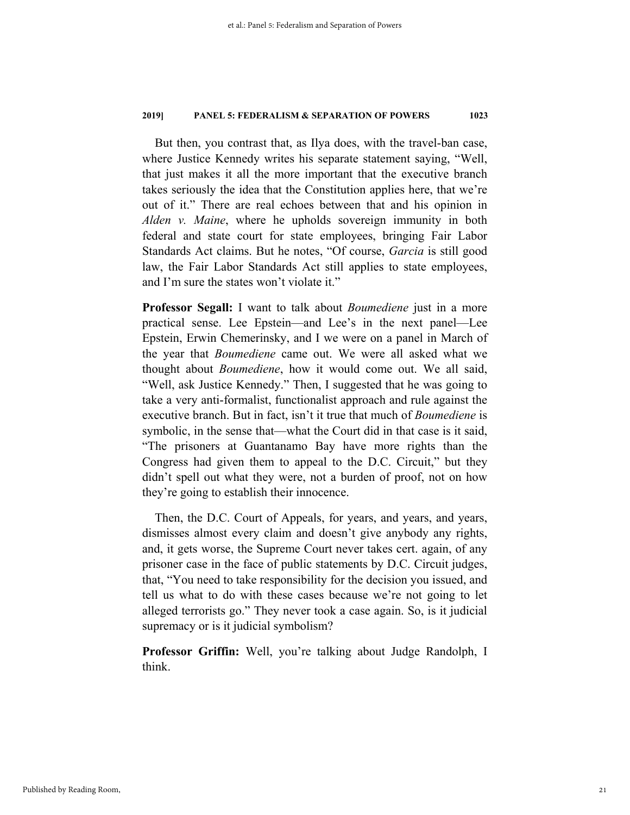But then, you contrast that, as Ilya does, with the travel-ban case, where Justice Kennedy writes his separate statement saying, "Well, that just makes it all the more important that the executive branch takes seriously the idea that the Constitution applies here, that we're out of it." There are real echoes between that and his opinion in *Alden v. Maine*, where he upholds sovereign immunity in both federal and state court for state employees, bringing Fair Labor Standards Act claims. But he notes, "Of course, *Garcia* is still good law, the Fair Labor Standards Act still applies to state employees, and I'm sure the states won't violate it."

**Professor Segall:** I want to talk about *Boumediene* just in a more practical sense. Lee Epstein—and Lee's in the next panel—Lee Epstein, Erwin Chemerinsky, and I we were on a panel in March of the year that *Boumediene* came out. We were all asked what we thought about *Boumediene*, how it would come out. We all said, "Well, ask Justice Kennedy." Then, I suggested that he was going to take a very anti-formalist, functionalist approach and rule against the executive branch. But in fact, isn't it true that much of *Boumediene* is symbolic, in the sense that—what the Court did in that case is it said, "The prisoners at Guantanamo Bay have more rights than the Congress had given them to appeal to the D.C. Circuit," but they didn't spell out what they were, not a burden of proof, not on how they're going to establish their innocence.

Then, the D.C. Court of Appeals, for years, and years, and years, dismisses almost every claim and doesn't give anybody any rights, and, it gets worse, the Supreme Court never takes cert. again, of any prisoner case in the face of public statements by D.C. Circuit judges, that, "You need to take responsibility for the decision you issued, and tell us what to do with these cases because we're not going to let alleged terrorists go." They never took a case again. So, is it judicial supremacy or is it judicial symbolism?

**Professor Griffin:** Well, you're talking about Judge Randolph, I think.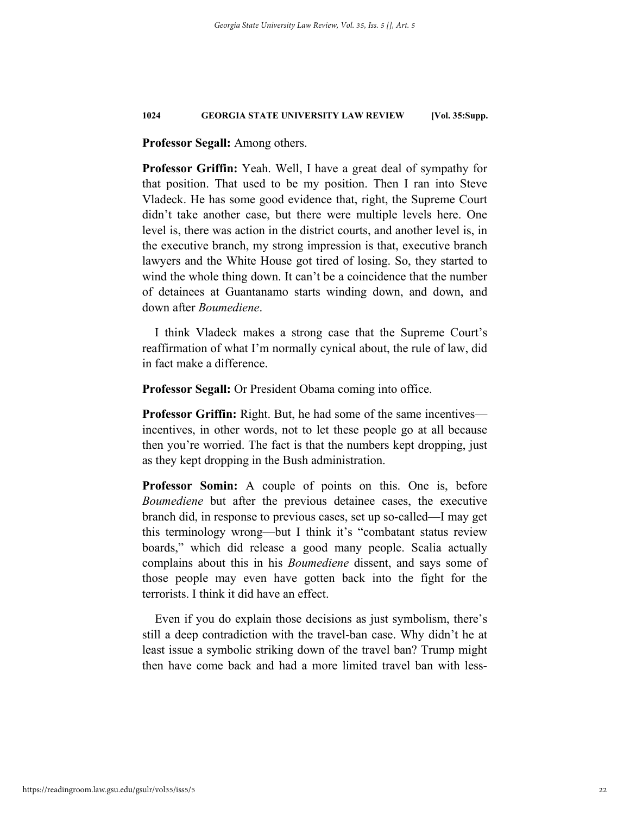# **Professor Segall:** Among others.

**Professor Griffin:** Yeah. Well, I have a great deal of sympathy for that position. That used to be my position. Then I ran into Steve Vladeck. He has some good evidence that, right, the Supreme Court didn't take another case, but there were multiple levels here. One level is, there was action in the district courts, and another level is, in the executive branch, my strong impression is that, executive branch lawyers and the White House got tired of losing. So, they started to wind the whole thing down. It can't be a coincidence that the number of detainees at Guantanamo starts winding down, and down, and down after *Boumediene*.

I think Vladeck makes a strong case that the Supreme Court's reaffirmation of what I'm normally cynical about, the rule of law, did in fact make a difference.

**Professor Segall:** Or President Obama coming into office.

**Professor Griffin:** Right. But, he had some of the same incentives incentives, in other words, not to let these people go at all because then you're worried. The fact is that the numbers kept dropping, just as they kept dropping in the Bush administration.

**Professor Somin:** A couple of points on this. One is, before *Boumediene* but after the previous detainee cases, the executive branch did, in response to previous cases, set up so-called—I may get this terminology wrong—but I think it's "combatant status review boards," which did release a good many people. Scalia actually complains about this in his *Boumediene* dissent, and says some of those people may even have gotten back into the fight for the terrorists. I think it did have an effect.

Even if you do explain those decisions as just symbolism, there's still a deep contradiction with the travel-ban case. Why didn't he at least issue a symbolic striking down of the travel ban? Trump might then have come back and had a more limited travel ban with less-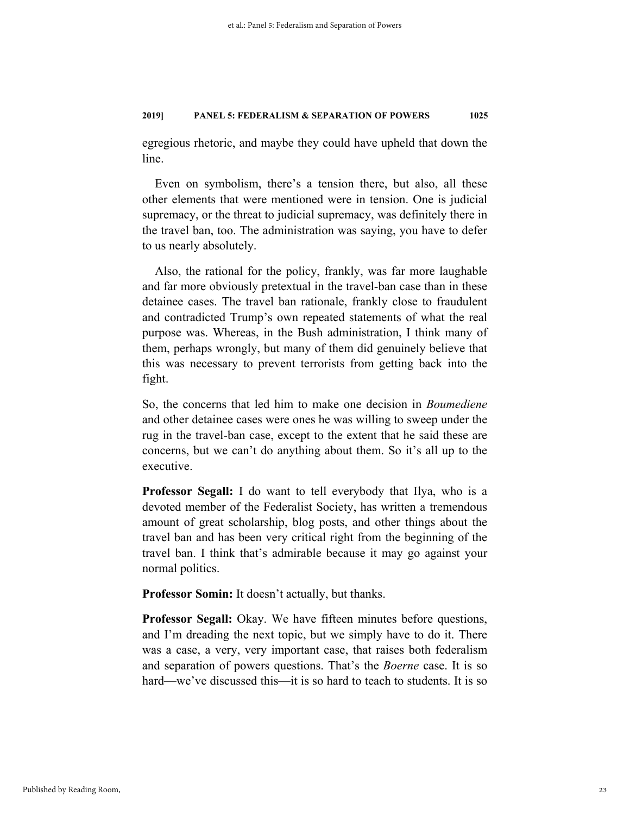egregious rhetoric, and maybe they could have upheld that down the line.

Even on symbolism, there's a tension there, but also, all these other elements that were mentioned were in tension. One is judicial supremacy, or the threat to judicial supremacy, was definitely there in the travel ban, too. The administration was saying, you have to defer to us nearly absolutely.

Also, the rational for the policy, frankly, was far more laughable and far more obviously pretextual in the travel-ban case than in these detainee cases. The travel ban rationale, frankly close to fraudulent and contradicted Trump's own repeated statements of what the real purpose was. Whereas, in the Bush administration, I think many of them, perhaps wrongly, but many of them did genuinely believe that this was necessary to prevent terrorists from getting back into the fight.

So, the concerns that led him to make one decision in *Boumediene* and other detainee cases were ones he was willing to sweep under the rug in the travel-ban case, except to the extent that he said these are concerns, but we can't do anything about them. So it's all up to the executive.

**Professor Segall:** I do want to tell everybody that Ilya, who is a devoted member of the Federalist Society, has written a tremendous amount of great scholarship, blog posts, and other things about the travel ban and has been very critical right from the beginning of the travel ban. I think that's admirable because it may go against your normal politics.

**Professor Somin:** It doesn't actually, but thanks.

**Professor Segall:** Okay. We have fifteen minutes before questions, and I'm dreading the next topic, but we simply have to do it. There was a case, a very, very important case, that raises both federalism and separation of powers questions. That's the *Boerne* case. It is so hard—we've discussed this—it is so hard to teach to students. It is so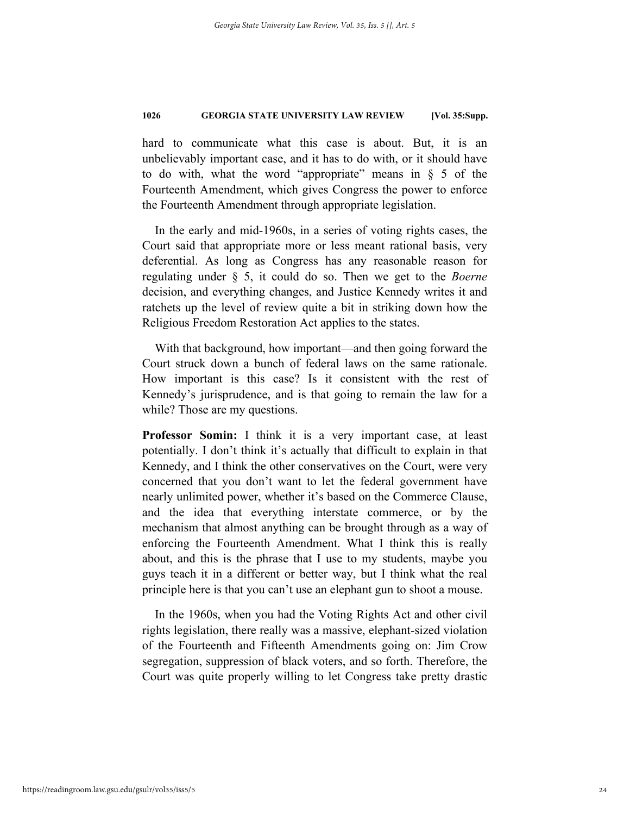hard to communicate what this case is about. But, it is an unbelievably important case, and it has to do with, or it should have to do with, what the word "appropriate" means in  $\S$  5 of the Fourteenth Amendment, which gives Congress the power to enforce the Fourteenth Amendment through appropriate legislation.

In the early and mid-1960s, in a series of voting rights cases, the Court said that appropriate more or less meant rational basis, very deferential. As long as Congress has any reasonable reason for regulating under § 5, it could do so. Then we get to the *Boerne* decision, and everything changes, and Justice Kennedy writes it and ratchets up the level of review quite a bit in striking down how the Religious Freedom Restoration Act applies to the states.

With that background, how important—and then going forward the Court struck down a bunch of federal laws on the same rationale. How important is this case? Is it consistent with the rest of Kennedy's jurisprudence, and is that going to remain the law for a while? Those are my questions.

**Professor Somin:** I think it is a very important case, at least potentially. I don't think it's actually that difficult to explain in that Kennedy, and I think the other conservatives on the Court, were very concerned that you don't want to let the federal government have nearly unlimited power, whether it's based on the Commerce Clause, and the idea that everything interstate commerce, or by the mechanism that almost anything can be brought through as a way of enforcing the Fourteenth Amendment. What I think this is really about, and this is the phrase that I use to my students, maybe you guys teach it in a different or better way, but I think what the real principle here is that you can't use an elephant gun to shoot a mouse.

In the 1960s, when you had the Voting Rights Act and other civil rights legislation, there really was a massive, elephant-sized violation of the Fourteenth and Fifteenth Amendments going on: Jim Crow segregation, suppression of black voters, and so forth. Therefore, the Court was quite properly willing to let Congress take pretty drastic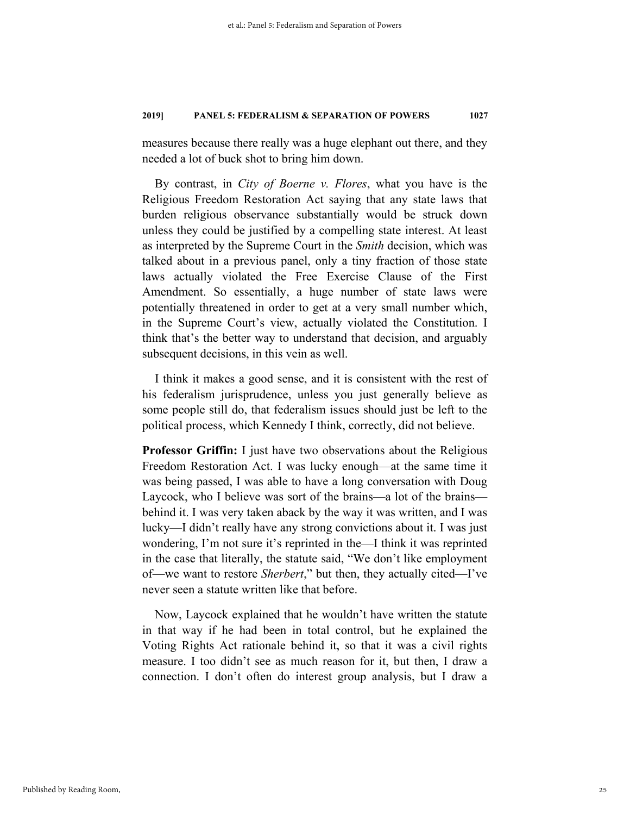measures because there really was a huge elephant out there, and they needed a lot of buck shot to bring him down.

By contrast, in *City of Boerne v. Flores*, what you have is the Religious Freedom Restoration Act saying that any state laws that burden religious observance substantially would be struck down unless they could be justified by a compelling state interest. At least as interpreted by the Supreme Court in the *Smith* decision, which was talked about in a previous panel, only a tiny fraction of those state laws actually violated the Free Exercise Clause of the First Amendment. So essentially, a huge number of state laws were potentially threatened in order to get at a very small number which, in the Supreme Court's view, actually violated the Constitution. I think that's the better way to understand that decision, and arguably subsequent decisions, in this vein as well.

I think it makes a good sense, and it is consistent with the rest of his federalism jurisprudence, unless you just generally believe as some people still do, that federalism issues should just be left to the political process, which Kennedy I think, correctly, did not believe.

**Professor Griffin:** I just have two observations about the Religious Freedom Restoration Act. I was lucky enough—at the same time it was being passed, I was able to have a long conversation with Doug Laycock, who I believe was sort of the brains—a lot of the brains behind it. I was very taken aback by the way it was written, and I was lucky—I didn't really have any strong convictions about it. I was just wondering, I'm not sure it's reprinted in the—I think it was reprinted in the case that literally, the statute said, "We don't like employment of—we want to restore *Sherbert*," but then, they actually cited—I've never seen a statute written like that before.

Now, Laycock explained that he wouldn't have written the statute in that way if he had been in total control, but he explained the Voting Rights Act rationale behind it, so that it was a civil rights measure. I too didn't see as much reason for it, but then, I draw a connection. I don't often do interest group analysis, but I draw a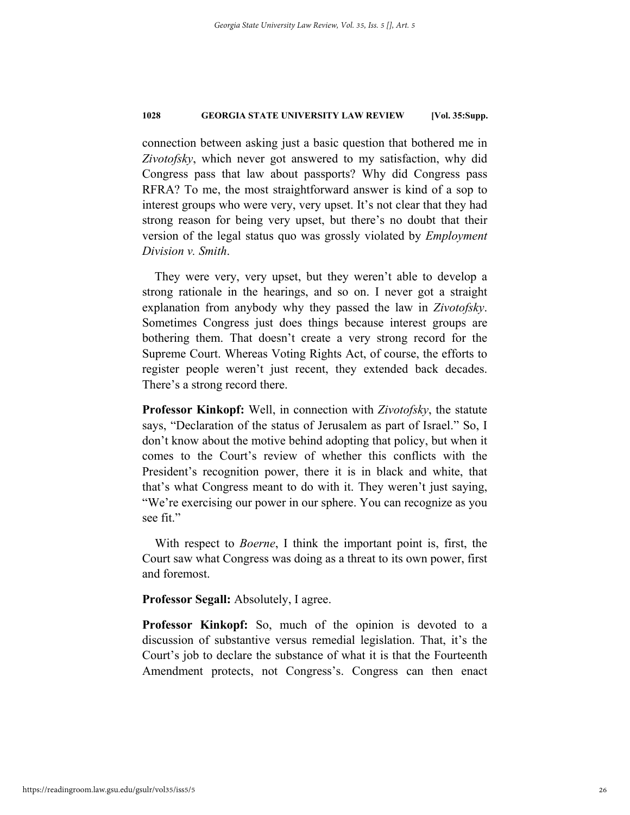connection between asking just a basic question that bothered me in *Zivotofsky*, which never got answered to my satisfaction, why did Congress pass that law about passports? Why did Congress pass RFRA? To me, the most straightforward answer is kind of a sop to interest groups who were very, very upset. It's not clear that they had strong reason for being very upset, but there's no doubt that their version of the legal status quo was grossly violated by *Employment Division v. Smith*.

They were very, very upset, but they weren't able to develop a strong rationale in the hearings, and so on. I never got a straight explanation from anybody why they passed the law in *Zivotofsky*. Sometimes Congress just does things because interest groups are bothering them. That doesn't create a very strong record for the Supreme Court. Whereas Voting Rights Act, of course, the efforts to register people weren't just recent, they extended back decades. There's a strong record there.

**Professor Kinkopf:** Well, in connection with *Zivotofsky*, the statute says, "Declaration of the status of Jerusalem as part of Israel." So, I don't know about the motive behind adopting that policy, but when it comes to the Court's review of whether this conflicts with the President's recognition power, there it is in black and white, that that's what Congress meant to do with it. They weren't just saying, "We're exercising our power in our sphere. You can recognize as you see fit."

With respect to *Boerne*, I think the important point is, first, the Court saw what Congress was doing as a threat to its own power, first and foremost.

**Professor Segall:** Absolutely, I agree.

**Professor Kinkopf:** So, much of the opinion is devoted to a discussion of substantive versus remedial legislation. That, it's the Court's job to declare the substance of what it is that the Fourteenth Amendment protects, not Congress's. Congress can then enact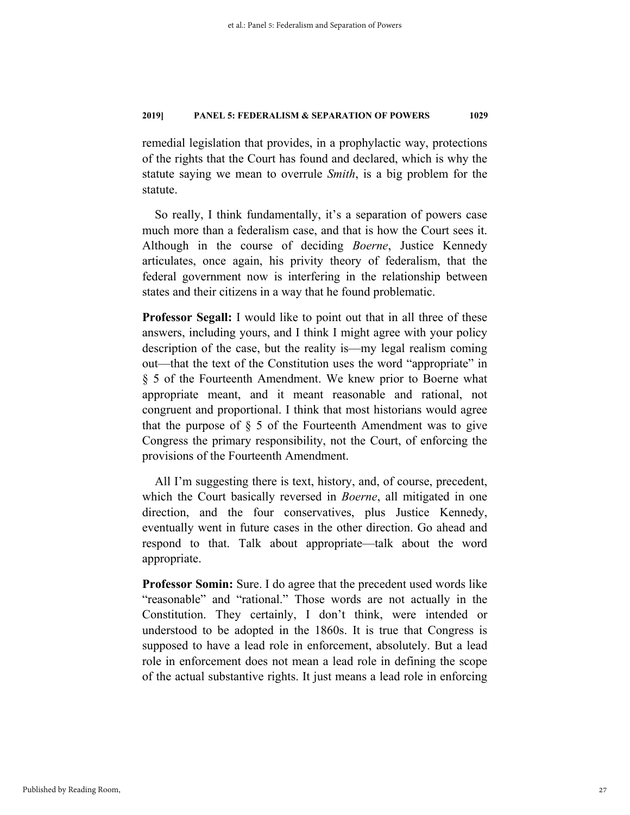remedial legislation that provides, in a prophylactic way, protections of the rights that the Court has found and declared, which is why the statute saying we mean to overrule *Smith*, is a big problem for the statute.

So really, I think fundamentally, it's a separation of powers case much more than a federalism case, and that is how the Court sees it. Although in the course of deciding *Boerne*, Justice Kennedy articulates, once again, his privity theory of federalism, that the federal government now is interfering in the relationship between states and their citizens in a way that he found problematic.

**Professor Segall:** I would like to point out that in all three of these answers, including yours, and I think I might agree with your policy description of the case, but the reality is—my legal realism coming out—that the text of the Constitution uses the word "appropriate" in § 5 of the Fourteenth Amendment. We knew prior to Boerne what appropriate meant, and it meant reasonable and rational, not congruent and proportional. I think that most historians would agree that the purpose of  $\S$  5 of the Fourteenth Amendment was to give Congress the primary responsibility, not the Court, of enforcing the provisions of the Fourteenth Amendment.

All I'm suggesting there is text, history, and, of course, precedent, which the Court basically reversed in *Boerne*, all mitigated in one direction, and the four conservatives, plus Justice Kennedy, eventually went in future cases in the other direction. Go ahead and respond to that. Talk about appropriate—talk about the word appropriate.

**Professor Somin:** Sure. I do agree that the precedent used words like "reasonable" and "rational." Those words are not actually in the Constitution. They certainly, I don't think, were intended or understood to be adopted in the 1860s. It is true that Congress is supposed to have a lead role in enforcement, absolutely. But a lead role in enforcement does not mean a lead role in defining the scope of the actual substantive rights. It just means a lead role in enforcing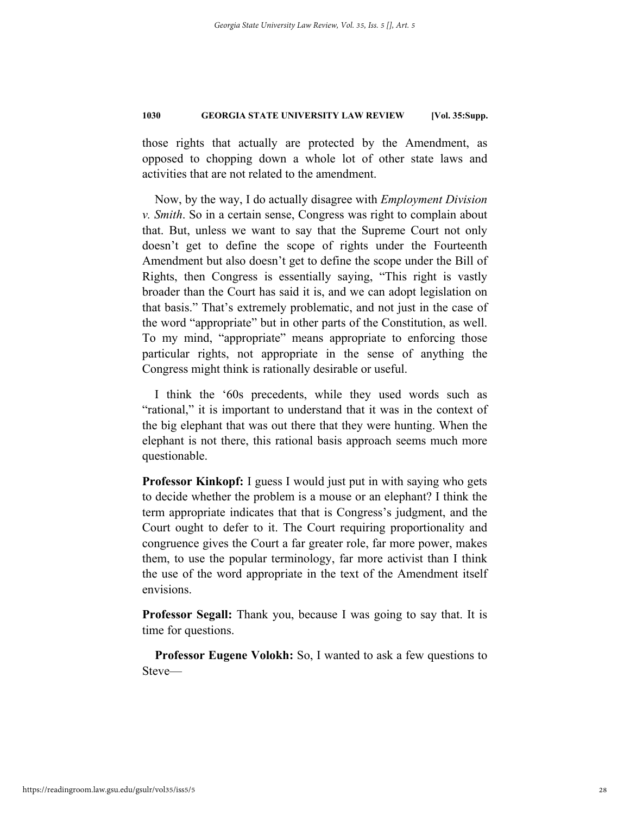those rights that actually are protected by the Amendment, as opposed to chopping down a whole lot of other state laws and activities that are not related to the amendment.

Now, by the way, I do actually disagree with *Employment Division v. Smith*. So in a certain sense, Congress was right to complain about that. But, unless we want to say that the Supreme Court not only doesn't get to define the scope of rights under the Fourteenth Amendment but also doesn't get to define the scope under the Bill of Rights, then Congress is essentially saying, "This right is vastly broader than the Court has said it is, and we can adopt legislation on that basis." That's extremely problematic, and not just in the case of the word "appropriate" but in other parts of the Constitution, as well. To my mind, "appropriate" means appropriate to enforcing those particular rights, not appropriate in the sense of anything the Congress might think is rationally desirable or useful.

I think the '60s precedents, while they used words such as "rational," it is important to understand that it was in the context of the big elephant that was out there that they were hunting. When the elephant is not there, this rational basis approach seems much more questionable.

**Professor Kinkopf:** I guess I would just put in with saying who gets to decide whether the problem is a mouse or an elephant? I think the term appropriate indicates that that is Congress's judgment, and the Court ought to defer to it. The Court requiring proportionality and congruence gives the Court a far greater role, far more power, makes them, to use the popular terminology, far more activist than I think the use of the word appropriate in the text of the Amendment itself envisions.

**Professor Segall:** Thank you, because I was going to say that. It is time for questions.

**Professor Eugene Volokh:** So, I wanted to ask a few questions to Steve—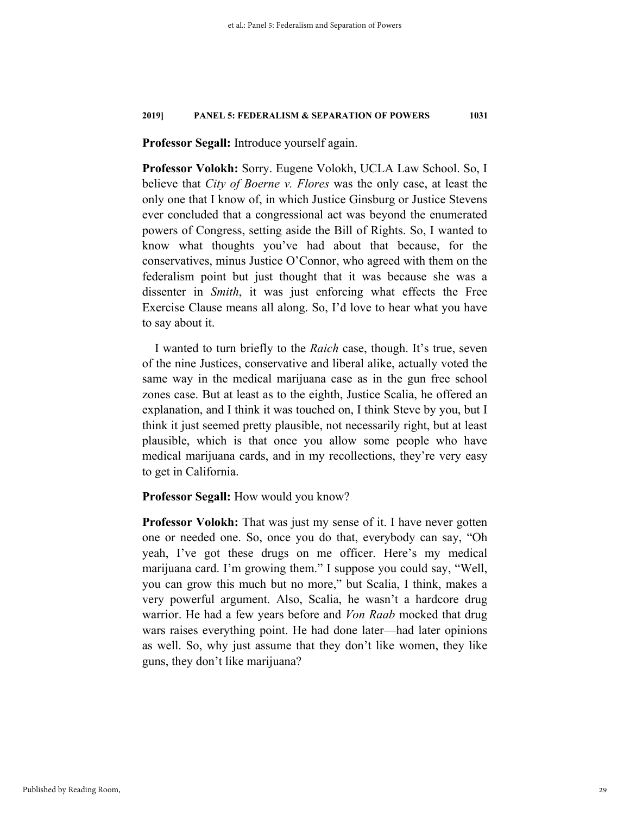**Professor Segall:** Introduce yourself again.

**Professor Volokh:** Sorry. Eugene Volokh, UCLA Law School. So, I believe that *City of Boerne v. Flores* was the only case, at least the only one that I know of, in which Justice Ginsburg or Justice Stevens ever concluded that a congressional act was beyond the enumerated powers of Congress, setting aside the Bill of Rights. So, I wanted to know what thoughts you've had about that because, for the conservatives, minus Justice O'Connor, who agreed with them on the federalism point but just thought that it was because she was a dissenter in *Smith*, it was just enforcing what effects the Free Exercise Clause means all along. So, I'd love to hear what you have to say about it.

I wanted to turn briefly to the *Raich* case, though. It's true, seven of the nine Justices, conservative and liberal alike, actually voted the same way in the medical marijuana case as in the gun free school zones case. But at least as to the eighth, Justice Scalia, he offered an explanation, and I think it was touched on, I think Steve by you, but I think it just seemed pretty plausible, not necessarily right, but at least plausible, which is that once you allow some people who have medical marijuana cards, and in my recollections, they're very easy to get in California.

**Professor Segall:** How would you know?

**Professor Volokh:** That was just my sense of it. I have never gotten one or needed one. So, once you do that, everybody can say, "Oh yeah, I've got these drugs on me officer. Here's my medical marijuana card. I'm growing them." I suppose you could say, "Well, you can grow this much but no more," but Scalia, I think, makes a very powerful argument. Also, Scalia, he wasn't a hardcore drug warrior. He had a few years before and *Von Raab* mocked that drug wars raises everything point. He had done later—had later opinions as well. So, why just assume that they don't like women, they like guns, they don't like marijuana?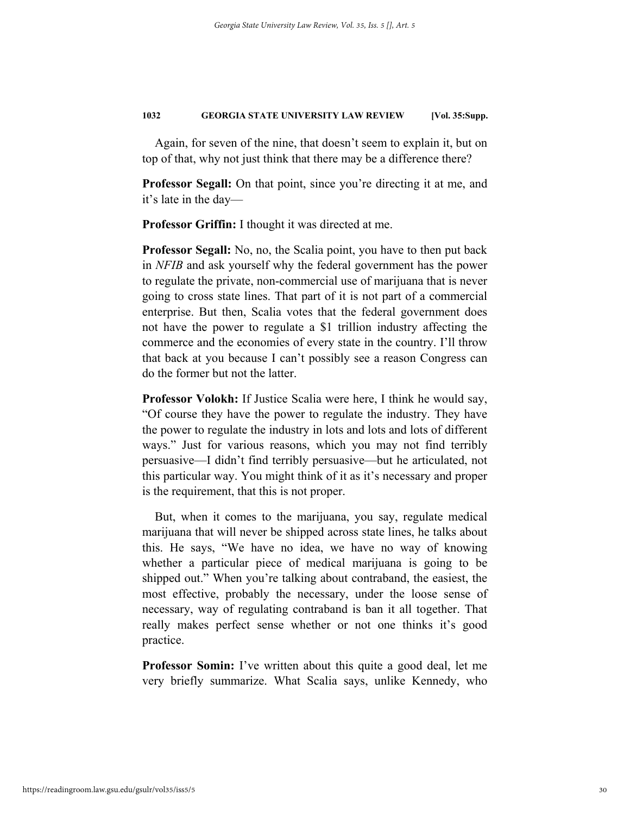Again, for seven of the nine, that doesn't seem to explain it, but on top of that, why not just think that there may be a difference there?

**Professor Segall:** On that point, since you're directing it at me, and it's late in the day—

**Professor Griffin:** I thought it was directed at me.

**Professor Segall:** No, no, the Scalia point, you have to then put back in *NFIB* and ask yourself why the federal government has the power to regulate the private, non-commercial use of marijuana that is never going to cross state lines. That part of it is not part of a commercial enterprise. But then, Scalia votes that the federal government does not have the power to regulate a \$1 trillion industry affecting the commerce and the economies of every state in the country. I'll throw that back at you because I can't possibly see a reason Congress can do the former but not the latter.

**Professor Volokh:** If Justice Scalia were here, I think he would say, "Of course they have the power to regulate the industry. They have the power to regulate the industry in lots and lots and lots of different ways." Just for various reasons, which you may not find terribly persuasive—I didn't find terribly persuasive—but he articulated, not this particular way. You might think of it as it's necessary and proper is the requirement, that this is not proper.

But, when it comes to the marijuana, you say, regulate medical marijuana that will never be shipped across state lines, he talks about this. He says, "We have no idea, we have no way of knowing whether a particular piece of medical marijuana is going to be shipped out." When you're talking about contraband, the easiest, the most effective, probably the necessary, under the loose sense of necessary, way of regulating contraband is ban it all together. That really makes perfect sense whether or not one thinks it's good practice.

**Professor Somin:** I've written about this quite a good deal, let me very briefly summarize. What Scalia says, unlike Kennedy, who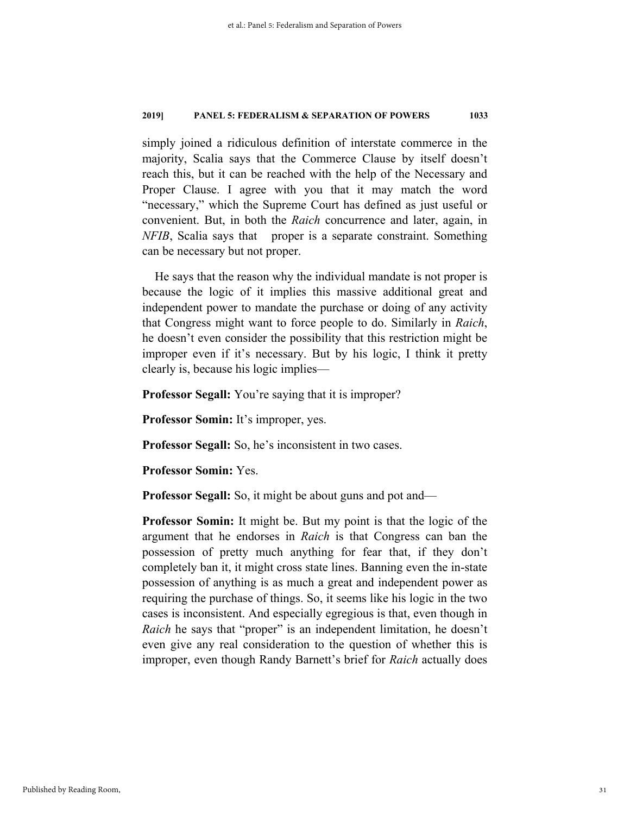simply joined a ridiculous definition of interstate commerce in the majority, Scalia says that the Commerce Clause by itself doesn't reach this, but it can be reached with the help of the Necessary and Proper Clause. I agree with you that it may match the word "necessary," which the Supreme Court has defined as just useful or convenient. But, in both the *Raich* concurrence and later, again, in *NFIB*, Scalia says that proper is a separate constraint. Something can be necessary but not proper.

He says that the reason why the individual mandate is not proper is because the logic of it implies this massive additional great and independent power to mandate the purchase or doing of any activity that Congress might want to force people to do. Similarly in *Raich*, he doesn't even consider the possibility that this restriction might be improper even if it's necessary. But by his logic, I think it pretty clearly is, because his logic implies—

**Professor Segall:** You're saying that it is improper?

**Professor Somin:** It's improper, yes.

**Professor Segall:** So, he's inconsistent in two cases.

**Professor Somin:** Yes.

**Professor Segall:** So, it might be about guns and pot and—

**Professor Somin:** It might be. But my point is that the logic of the argument that he endorses in *Raich* is that Congress can ban the possession of pretty much anything for fear that, if they don't completely ban it, it might cross state lines. Banning even the in-state possession of anything is as much a great and independent power as requiring the purchase of things. So, it seems like his logic in the two cases is inconsistent. And especially egregious is that, even though in *Raich* he says that "proper" is an independent limitation, he doesn't even give any real consideration to the question of whether this is improper, even though Randy Barnett's brief for *Raich* actually does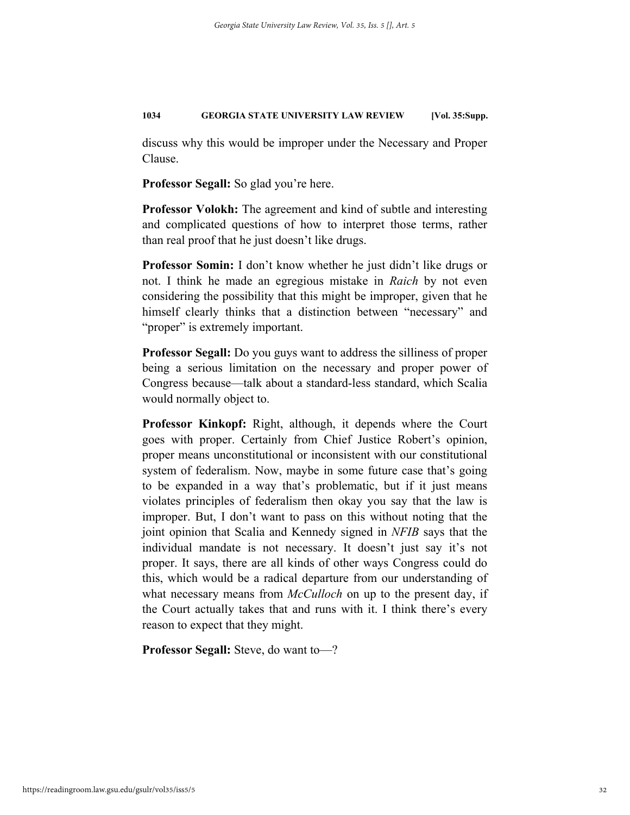discuss why this would be improper under the Necessary and Proper Clause.

**Professor Segall:** So glad you're here.

**Professor Volokh:** The agreement and kind of subtle and interesting and complicated questions of how to interpret those terms, rather than real proof that he just doesn't like drugs.

**Professor Somin:** I don't know whether he just didn't like drugs or not. I think he made an egregious mistake in *Raich* by not even considering the possibility that this might be improper, given that he himself clearly thinks that a distinction between "necessary" and "proper" is extremely important.

**Professor Segall:** Do you guys want to address the silliness of proper being a serious limitation on the necessary and proper power of Congress because—talk about a standard-less standard, which Scalia would normally object to.

**Professor Kinkopf:** Right, although, it depends where the Court goes with proper. Certainly from Chief Justice Robert's opinion, proper means unconstitutional or inconsistent with our constitutional system of federalism. Now, maybe in some future case that's going to be expanded in a way that's problematic, but if it just means violates principles of federalism then okay you say that the law is improper. But, I don't want to pass on this without noting that the joint opinion that Scalia and Kennedy signed in *NFIB* says that the individual mandate is not necessary. It doesn't just say it's not proper. It says, there are all kinds of other ways Congress could do this, which would be a radical departure from our understanding of what necessary means from *McCulloch* on up to the present day, if the Court actually takes that and runs with it. I think there's every reason to expect that they might.

**Professor Segall:** Steve, do want to—?